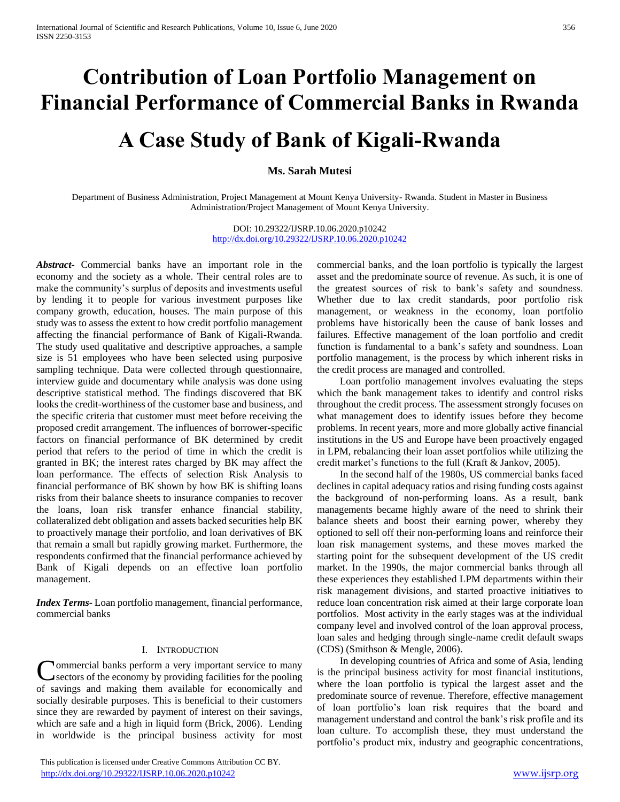# **Contribution of Loan Portfolio Management on Financial Performance of Commercial Banks in Rwanda**

# **A Case Study of Bank of Kigali-Rwanda**

# **Ms. Sarah Mutesi**

Department of Business Administration, Project Management at Mount Kenya University- Rwanda. Student in Master in Business Administration/Project Management of Mount Kenya University.

> DOI: 10.29322/IJSRP.10.06.2020.p10242 <http://dx.doi.org/10.29322/IJSRP.10.06.2020.p10242>

*Abstract***-** Commercial banks have an important role in the economy and the society as a whole. Their central roles are to make the community's surplus of deposits and investments useful by lending it to people for various investment purposes like company growth, education, houses. The main purpose of this study was to assess the extent to how credit portfolio management affecting the financial performance of Bank of Kigali-Rwanda. The study used qualitative and descriptive approaches, a sample size is 51 employees who have been selected using purposive sampling technique. Data were collected through questionnaire, interview guide and documentary while analysis was done using descriptive statistical method. The findings discovered that BK looks the credit-worthiness of the customer base and business, and the specific criteria that customer must meet before receiving the proposed credit arrangement. The influences of borrower-specific factors on financial performance of BK determined by credit period that refers to the period of time in which the credit is granted in BK; the interest rates charged by BK may affect the loan performance. The effects of selection Risk Analysis to financial performance of BK shown by how BK is shifting loans risks from their balance sheets to insurance companies to recover the loans, loan risk transfer enhance financial stability, collateralized debt obligation and assets backed securities help BK to proactively manage their portfolio, and loan derivatives of BK that remain a small but rapidly growing market. Furthermore, the respondents confirmed that the financial performance achieved by Bank of Kigali depends on an effective loan portfolio management.

*Index Terms*- Loan portfolio management, financial performance, commercial banks

#### I. INTRODUCTION

**\*** ommercial banks perform a very important service to many sectors of the economy by providing facilities for the pooling of savings and making them available for economically and socially desirable purposes. This is beneficial to their customers since they are rewarded by payment of interest on their savings, which are safe and a high in liquid form (Brick, 2006). Lending in worldwide is the principal business activity for most C

 This publication is licensed under Creative Commons Attribution CC BY. <http://dx.doi.org/10.29322/IJSRP.10.06.2020.p10242> [www.ijsrp.org](http://ijsrp.org/)

commercial banks, and the loan portfolio is typically the largest asset and the predominate source of revenue. As such, it is one of the greatest sources of risk to bank's safety and soundness. Whether due to lax credit standards, poor portfolio risk management, or weakness in the economy, loan portfolio problems have historically been the cause of bank losses and failures. Effective management of the loan portfolio and credit function is fundamental to a bank's safety and soundness. Loan portfolio management, is the process by which inherent risks in the credit process are managed and controlled.

 Loan portfolio management involves evaluating the steps which the bank management takes to identify and control risks throughout the credit process. The assessment strongly focuses on what management does to identify issues before they become problems. In recent years, more and more globally active financial institutions in the US and Europe have been proactively engaged in LPM, rebalancing their loan asset portfolios while utilizing the credit market's functions to the full (Kraft & Jankov, 2005).

 In the second half of the 1980s, US commercial banks faced declines in capital adequacy ratios and rising funding costs against the background of non-performing loans. As a result, bank managements became highly aware of the need to shrink their balance sheets and boost their earning power, whereby they optioned to sell off their non-performing loans and reinforce their loan risk management systems, and these moves marked the starting point for the subsequent development of the US credit market. In the 1990s, the major commercial banks through all these experiences they established LPM departments within their risk management divisions, and started proactive initiatives to reduce loan concentration risk aimed at their large corporate loan portfolios. Most activity in the early stages was at the individual company level and involved control of the loan approval process, loan sales and hedging through single-name credit default swaps (CDS) (Smithson & Mengle, 2006).

 In developing countries of Africa and some of Asia, lending is the principal business activity for most financial institutions, where the loan portfolio is typical the largest asset and the predominate source of revenue. Therefore, effective management of loan portfolio's loan risk requires that the board and management understand and control the bank's risk profile and its loan culture. To accomplish these, they must understand the portfolio's product mix, industry and geographic concentrations,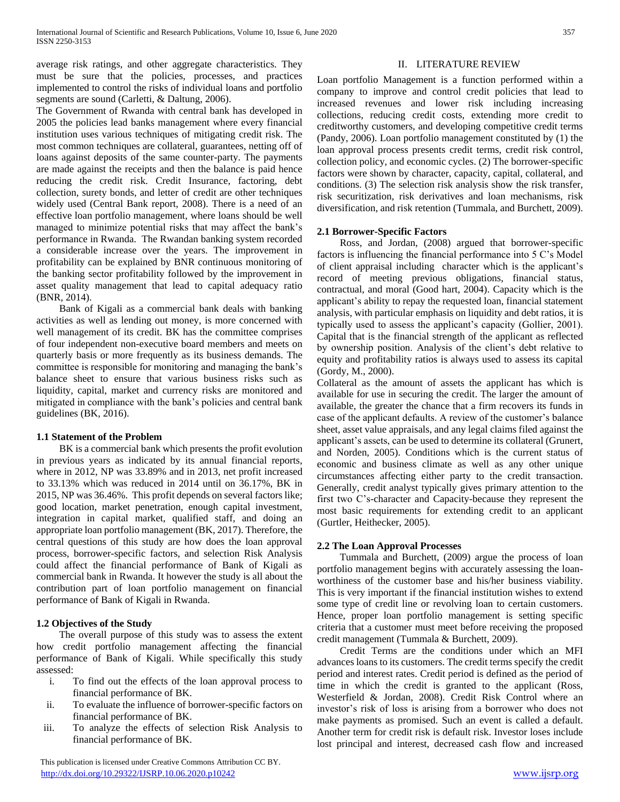average risk ratings, and other aggregate characteristics. They must be sure that the policies, processes, and practices implemented to control the risks of individual loans and portfolio segments are sound (Carletti, & Daltung, 2006).

The Government of Rwanda with central bank has developed in 2005 the policies lead banks management where every financial institution uses various techniques of mitigating credit risk. The most common techniques are collateral, guarantees, netting off of loans against deposits of the same counter-party. The payments are made against the receipts and then the balance is paid hence reducing the credit risk. Credit Insurance, factoring, debt collection, surety bonds, and letter of credit are other techniques widely used (Central Bank report, 2008). There is a need of an effective loan portfolio management, where loans should be well managed to minimize potential risks that may affect the bank's performance in Rwanda. The Rwandan banking system recorded a considerable increase over the years. The improvement in profitability can be explained by BNR continuous monitoring of the banking sector profitability followed by the improvement in asset quality management that lead to capital adequacy ratio (BNR, 2014).

 Bank of Kigali as a commercial bank deals with banking activities as well as lending out money, is more concerned with well management of its credit. BK has the committee comprises of four independent non-executive board members and meets on quarterly basis or more frequently as its business demands. The committee is responsible for monitoring and managing the bank's balance sheet to ensure that various business risks such as liquidity, capital, market and currency risks are monitored and mitigated in compliance with the bank's policies and central bank guidelines (BK, 2016).

# **1.1 Statement of the Problem**

 BK is a commercial bank which presents the profit evolution in previous years as indicated by its annual financial reports, where in 2012, NP was 33.89% and in 2013, net profit increased to 33.13% which was reduced in 2014 until on 36.17%, BK in 2015, NP was 36.46%. This profit depends on several factors like; good location, market penetration, enough capital investment, integration in capital market, qualified staff, and doing an appropriate loan portfolio management (BK, 2017). Therefore, the central questions of this study are how does the loan approval process, borrower-specific factors, and selection Risk Analysis could affect the financial performance of Bank of Kigali as commercial bank in Rwanda. It however the study is all about the contribution part of loan portfolio management on financial performance of Bank of Kigali in Rwanda.

# **1.2 Objectives of the Study**

 The overall purpose of this study was to assess the extent how credit portfolio management affecting the financial performance of Bank of Kigali. While specifically this study assessed:

- i. To find out the effects of the loan approval process to financial performance of BK.
- ii. To evaluate the influence of borrower-specific factors on financial performance of BK.
- iii. To analyze the effects of selection Risk Analysis to financial performance of BK.

 This publication is licensed under Creative Commons Attribution CC BY. <http://dx.doi.org/10.29322/IJSRP.10.06.2020.p10242> [www.ijsrp.org](http://ijsrp.org/)

#### II. LITERATURE REVIEW

Loan portfolio Management is a function performed within a company to improve and control credit policies that lead to increased revenues and lower risk including increasing collections, reducing credit costs, extending more credit to creditworthy customers, and developing competitive credit terms (Pandy, 2006). Loan portfolio management constituted by (1) the loan approval process presents credit terms, credit risk control, collection policy, and economic cycles. (2) The borrower-specific factors were shown by character, capacity, capital, collateral, and conditions. (3) The selection risk analysis show the risk transfer, risk securitization, risk derivatives and loan mechanisms, risk diversification, and risk retention (Tummala, and Burchett, 2009).

# **2.1 Borrower-Specific Factors**

 Ross, and Jordan, (2008) argued that borrower-specific factors is influencing the financial performance into 5 C's Model of client appraisal including character which is the applicant's record of meeting previous obligations, financial status, contractual, and moral (Good hart, 2004). Capacity which is the applicant's ability to repay the requested loan, financial statement analysis, with particular emphasis on liquidity and debt ratios, it is typically used to assess the applicant's capacity (Gollier, 2001). Capital that is the financial strength of the applicant as reflected by ownership position. Analysis of the client's debt relative to equity and profitability ratios is always used to assess its capital (Gordy, M., 2000).

Collateral as the amount of assets the applicant has which is available for use in securing the credit. The larger the amount of available, the greater the chance that a firm recovers its funds in case of the applicant defaults. A review of the customer's balance sheet, asset value appraisals, and any legal claims filed against the applicant's assets, can be used to determine its collateral (Grunert, and Norden, 2005). Conditions which is the current status of economic and business climate as well as any other unique circumstances affecting either party to the credit transaction. Generally, credit analyst typically gives primary attention to the first two C's-character and Capacity-because they represent the most basic requirements for extending credit to an applicant (Gurtler, Heithecker, 2005).

# **2.2 The Loan Approval Processes**

 Tummala and Burchett, (2009) argue the process of loan portfolio management begins with accurately assessing the loanworthiness of the customer base and his/her business viability. This is very important if the financial institution wishes to extend some type of credit line or revolving loan to certain customers. Hence, proper loan portfolio management is setting specific criteria that a customer must meet before receiving the proposed credit management (Tummala & Burchett, 2009).

 Credit Terms are the conditions under which an MFI advances loans to its customers. The credit terms specify the credit period and interest rates. Credit period is defined as the period of time in which the credit is granted to the applicant (Ross, Westerfield & Jordan, 2008). Credit Risk Control where an investor's risk of loss is arising from a borrower who does not make payments as promised. Such an event is called a default. Another term for credit risk is default risk. Investor loses include lost principal and interest, decreased cash flow and increased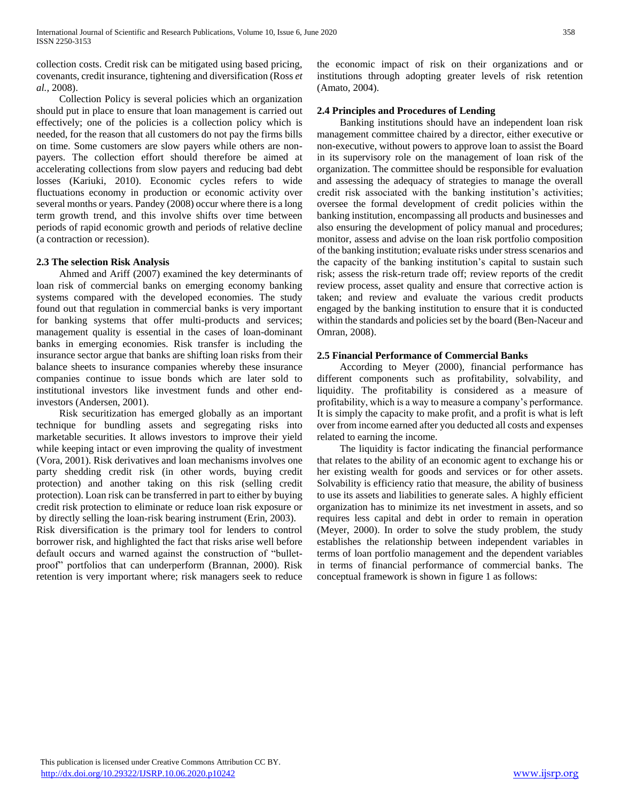collection costs. Credit risk can be mitigated using based pricing, covenants, credit insurance, tightening and diversification (Ross *et al.,* 2008).

 Collection Policy is several policies which an organization should put in place to ensure that loan management is carried out effectively; one of the policies is a collection policy which is needed, for the reason that all customers do not pay the firms bills on time. Some customers are slow payers while others are nonpayers. The collection effort should therefore be aimed at accelerating collections from slow payers and reducing bad debt losses (Kariuki, 2010). Economic cycles refers to wide fluctuations economy in production or economic activity over several months or years. Pandey (2008) occur where there is a long term growth trend, and this involve shifts over time between periods of rapid economic growth and periods of relative decline (a contraction or recession).

# **2.3 The selection Risk Analysis**

 Ahmed and Ariff (2007) examined the key determinants of loan risk of commercial banks on emerging economy banking systems compared with the developed economies. The study found out that regulation in commercial banks is very important for banking systems that offer multi-products and services; management quality is essential in the cases of loan-dominant banks in emerging economies. Risk transfer is including the insurance sector argue that banks are shifting loan risks from their balance sheets to insurance companies whereby these insurance companies continue to issue bonds which are later sold to institutional investors like investment funds and other endinvestors (Andersen, 2001).

 Risk securitization has emerged globally as an important technique for bundling assets and segregating risks into marketable securities. It allows investors to improve their yield while keeping intact or even improving the quality of investment (Vora, 2001). Risk derivatives and loan mechanisms involves one party shedding credit risk (in other words, buying credit protection) and another taking on this risk (selling credit protection). Loan risk can be transferred in part to either by buying credit risk protection to eliminate or reduce loan risk exposure or by directly selling the loan-risk bearing instrument (Erin, 2003).

Risk diversification is the primary tool for lenders to control borrower risk, and highlighted the fact that risks arise well before default occurs and warned against the construction of "bulletproof" portfolios that can underperform (Brannan, 2000). Risk retention is very important where; risk managers seek to reduce the economic impact of risk on their organizations and or institutions through adopting greater levels of risk retention (Amato, 2004).

# **2.4 Principles and Procedures of Lending**

 Banking institutions should have an independent loan risk management committee chaired by a director, either executive or non-executive, without powers to approve loan to assist the Board in its supervisory role on the management of loan risk of the organization. The committee should be responsible for evaluation and assessing the adequacy of strategies to manage the overall credit risk associated with the banking institution's activities; oversee the formal development of credit policies within the banking institution, encompassing all products and businesses and also ensuring the development of policy manual and procedures; monitor, assess and advise on the loan risk portfolio composition of the banking institution; evaluate risks under stress scenarios and the capacity of the banking institution's capital to sustain such risk; assess the risk-return trade off; review reports of the credit review process, asset quality and ensure that corrective action is taken; and review and evaluate the various credit products engaged by the banking institution to ensure that it is conducted within the standards and policies set by the board (Ben-Naceur and Omran, 2008).

# **2.5 Financial Performance of Commercial Banks**

 According to Meyer (2000), financial performance has different components such as profitability, solvability, and liquidity. The profitability is considered as a measure of profitability, which is a way to measure a company's performance. It is simply the capacity to make profit, and a profit is what is left over from income earned after you deducted all costs and expenses related to earning the income.

 The liquidity is factor indicating the financial performance that relates to the ability of an economic agent to exchange his or her existing wealth for goods and services or for other assets. Solvability is efficiency ratio that measure, the ability of business to use its assets and liabilities to generate sales. A highly efficient organization has to minimize its net investment in assets, and so requires less capital and debt in order to remain in operation (Meyer, 2000). In order to solve the study problem, the study establishes the relationship between independent variables in terms of loan portfolio management and the dependent variables in terms of financial performance of commercial banks. The conceptual framework is shown in figure 1 as follows: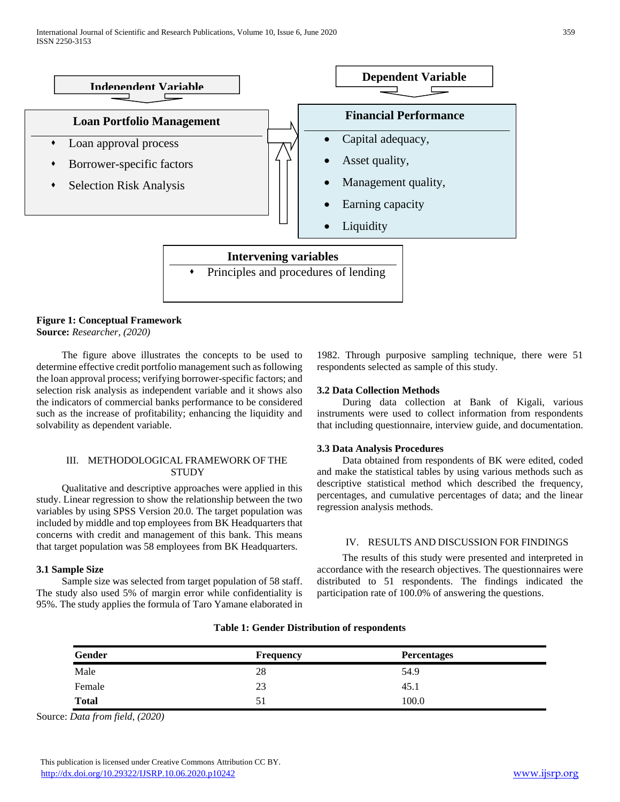

#### **Figure 1: Conceptual Framework Source:** *Researcher, (2020)*

 The figure above illustrates the concepts to be used to determine effective credit portfolio management such as following the loan approval process; verifying borrower-specific factors; and selection risk analysis as independent variable and it shows also the indicators of commercial banks performance to be considered such as the increase of profitability; enhancing the liquidity and solvability as dependent variable.

# III. METHODOLOGICAL FRAMEWORK OF THE **STUDY**

 Qualitative and descriptive approaches were applied in this study. Linear regression to show the relationship between the two variables by using SPSS Version 20.0. The target population was included by middle and top employees from BK Headquarters that concerns with credit and management of this bank. This means that target population was 58 employees from BK Headquarters.

# **3.1 Sample Size**

 Sample size was selected from target population of 58 staff. The study also used 5% of margin error while confidentiality is 95%. The study applies the formula of Taro Yamane elaborated in

1982. Through purposive sampling technique, there were 51 respondents selected as sample of this study.

# **3.2 Data Collection Methods**

 During data collection at Bank of Kigali, various instruments were used to collect information from respondents that including questionnaire, interview guide, and documentation.

#### **3.3 Data Analysis Procedures**

 Data obtained from respondents of BK were edited, coded and make the statistical tables by using various methods such as descriptive statistical method which described the frequency, percentages, and cumulative percentages of data; and the linear regression analysis methods.

#### IV. RESULTS AND DISCUSSION FOR FINDINGS

 The results of this study were presented and interpreted in accordance with the research objectives. The questionnaires were distributed to 51 respondents. The findings indicated the participation rate of 100.0% of answering the questions.

| Gender       | <b>Frequency</b> | <b>Percentages</b> |  |
|--------------|------------------|--------------------|--|
| Male         | 28               | 54.9               |  |
| Female       | 23               | 45.1               |  |
| <b>Total</b> | 51               | 100.0              |  |

# **Table 1: Gender Distribution of respondents**

Source: *Data from field, (2020)*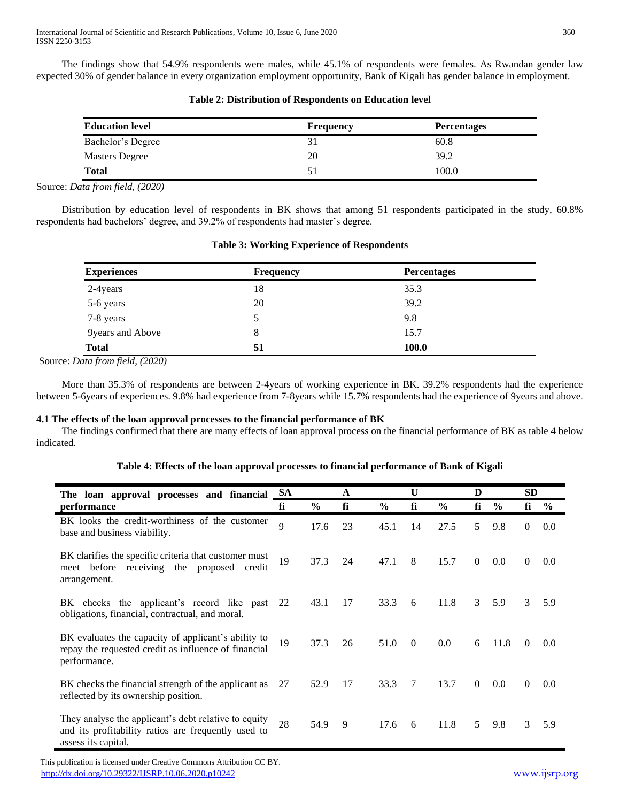The findings show that 54.9% respondents were males, while 45.1% of respondents were females. As Rwandan gender law expected 30% of gender balance in every organization employment opportunity, Bank of Kigali has gender balance in employment.

| <b>Education level</b> | <b>Frequency</b> | <b>Percentages</b> |
|------------------------|------------------|--------------------|
| Bachelor's Degree      |                  | 60.8               |
| <b>Masters Degree</b>  | 20               | 39.2               |
| <b>Total</b>           | 51               | 100.0              |

# **Table 2: Distribution of Respondents on Education level**

Source: *Data from field, (2020)*

 Distribution by education level of respondents in BK shows that among 51 respondents participated in the study, 60.8% respondents had bachelors' degree, and 39.2% of respondents had master's degree.

**Table 3: Working Experience of Respondents**

| <b>Experiences</b> | <b>Frequency</b> | <b>Percentages</b> |  |
|--------------------|------------------|--------------------|--|
| 2-4years           | 18               | 35.3               |  |
| 5-6 years          | 20               | 39.2               |  |
| 7-8 years          |                  | 9.8                |  |
| 9years and Above   | 8                | 15.7               |  |
| <b>Total</b>       | 51               | 100.0              |  |

Source: *Data from field, (2020)*

 More than 35.3% of respondents are between 2-4years of working experience in BK. 39.2% respondents had the experience between 5-6years of experiences. 9.8% had experience from 7-8years while 15.7% respondents had the experience of 9years and above.

#### **4.1 The effects of the loan approval processes to the financial performance of BK**

 The findings confirmed that there are many effects of loan approval process on the financial performance of BK as table 4 below indicated.

| Table 4: Effects of the loan approval processes to financial performance of Bank of Kigali |  |  |
|--------------------------------------------------------------------------------------------|--|--|
|                                                                                            |  |  |

| The loan approval processes and financial                                                                                          | <b>SA</b> |               | A  |               | U        |               | D              | <b>SD</b>     |              |               |
|------------------------------------------------------------------------------------------------------------------------------------|-----------|---------------|----|---------------|----------|---------------|----------------|---------------|--------------|---------------|
| performance                                                                                                                        | fi        | $\frac{0}{0}$ | fi | $\frac{0}{0}$ | fi       | $\frac{0}{0}$ | fi             | $\frac{0}{0}$ | fi           | $\frac{6}{6}$ |
| BK looks the credit-worthiness of the customer<br>base and business viability.                                                     | 9         | 17.6          | 23 | 45.1          | 14       | 27.5          | 5              | 9.8           | $\Omega$     | 0.0           |
| BK clarifies the specific criteria that customer must<br>before receiving the proposed credit<br>meet<br>arrangement.              | 19        | 37.3          | 24 | 47.1          | 8        | 15.7          | $\theta$       | 0.0           | $\Omega$     | 0.0           |
| BK checks the applicant's record like past<br>obligations, financial, contractual, and moral.                                      | 22        | 43.1          | 17 | 33.3          | 6        | 11.8          | 3              | 5.9           | 3            | 5.9           |
| BK evaluates the capacity of applicant's ability to<br>repay the requested credit as influence of financial<br>performance.        | 19        | 37.3          | 26 | 51.0          | $\theta$ | 0.0           | 6              | 11.8          | $\Omega$     | 0.0           |
| BK checks the financial strength of the applicant as<br>reflected by its ownership position.                                       | 27        | 52.9          | 17 | 33.3          | 7        | 13.7          | $\overline{0}$ | 0.0           | $\mathbf{0}$ | 0.0           |
| They analyse the applicant's debt relative to equity<br>and its profitability ratios are frequently used to<br>assess its capital. | 28        | 54.9          | 9  | 17.6          | 6        | 11.8          | 5              | 9.8           | 3            | 5.9           |

 This publication is licensed under Creative Commons Attribution CC BY. <http://dx.doi.org/10.29322/IJSRP.10.06.2020.p10242> [www.ijsrp.org](http://ijsrp.org/)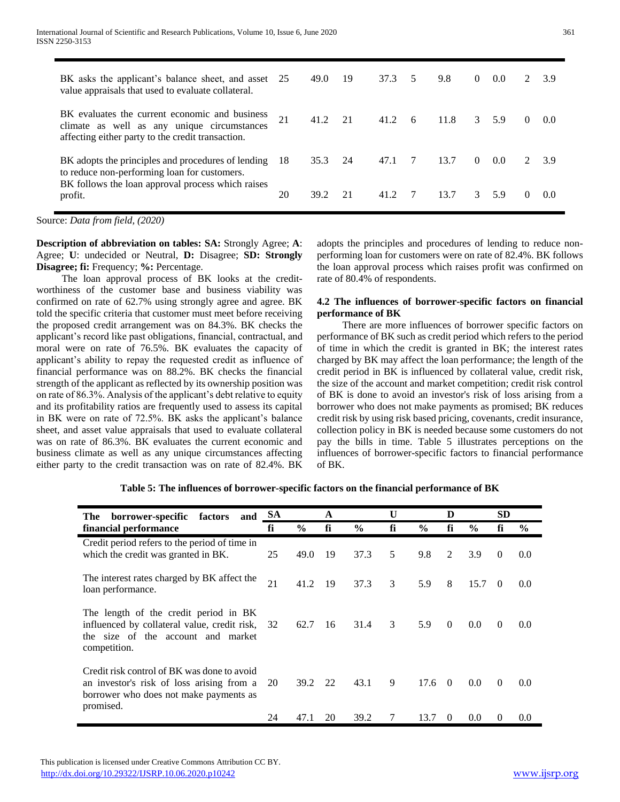| BK asks the applicant's balance sheet, and asset 25<br>value appraisals that used to evaluate collateral.                                                          |     | 49.0 | 19 | 37.3 | 5  | 9.8  | $\Omega$      | 0.0    | $\mathcal{L}$ | 3.9   |
|--------------------------------------------------------------------------------------------------------------------------------------------------------------------|-----|------|----|------|----|------|---------------|--------|---------------|-------|
| BK evaluates the current economic and business<br>climate as well as any unique circumstances<br>affecting either party to the credit transaction.                 | 21  | 41.2 | 21 | 41.2 | -6 | 11.8 |               | 3, 5.9 | $\Omega$      | (0.0) |
| BK adopts the principles and procedures of lending<br>to reduce non-performing loan for customers.<br>BK follows the loan approval process which raises<br>profit. | -18 | 35.3 | 24 | 47.1 |    | 13.7 | $\Omega$      | 0.0    |               | 3.9   |
|                                                                                                                                                                    | 20  | 39.2 | 21 | 41 2 |    | 13.7 | $\mathcal{E}$ | 5.9    | $\Omega$      | 00    |

Source: *Data from field, (2020)*

**Description of abbreviation on tables: SA:** Strongly Agree; **A**: Agree; **U**: undecided or Neutral, **D:** Disagree; **SD: Strongly Disagree; fi:** Frequency; **%:** Percentage.

 The loan approval process of BK looks at the creditworthiness of the customer base and business viability was confirmed on rate of 62.7% using strongly agree and agree. BK told the specific criteria that customer must meet before receiving the proposed credit arrangement was on 84.3%. BK checks the applicant's record like past obligations, financial, contractual, and moral were on rate of 76.5%. BK evaluates the capacity of applicant's ability to repay the requested credit as influence of financial performance was on 88.2%. BK checks the financial strength of the applicant as reflected by its ownership position was on rate of 86.3%. Analysis of the applicant's debt relative to equity and its profitability ratios are frequently used to assess its capital in BK were on rate of 72.5%. BK asks the applicant's balance sheet, and asset value appraisals that used to evaluate collateral was on rate of 86.3%. BK evaluates the current economic and business climate as well as any unique circumstances affecting either party to the credit transaction was on rate of 82.4%. BK adopts the principles and procedures of lending to reduce nonperforming loan for customers were on rate of 82.4%. BK follows the loan approval process which raises profit was confirmed on rate of 80.4% of respondents.

#### **4.2 The influences of borrower-specific factors on financial performance of BK**

 There are more influences of borrower specific factors on performance of BK such as credit period which refers to the period of time in which the credit is granted in BK; the interest rates charged by BK may affect the loan performance; the length of the credit period in BK is influenced by collateral value, credit risk, the size of the account and market competition; credit risk control of BK is done to avoid an investor's risk of loss arising from a borrower who does not make payments as promised; BK reduces credit risk by using risk based pricing, covenants, credit insurance, collection policy in BK is needed because some customers do not pay the bills in time. Table 5 illustrates perceptions on the influences of borrower-specific factors to financial performance of BK.

| borrower-specific factors<br>The<br>and                                                                                                         | <b>SA</b> |               | A   |               | U  |               | D              |               | <b>SD</b> |               |
|-------------------------------------------------------------------------------------------------------------------------------------------------|-----------|---------------|-----|---------------|----|---------------|----------------|---------------|-----------|---------------|
| financial performance                                                                                                                           | fi        | $\frac{6}{6}$ | fi  | $\frac{0}{0}$ | fi | $\frac{6}{9}$ | fi             | $\frac{6}{9}$ | fi        | $\frac{6}{9}$ |
| Credit period refers to the period of time in<br>which the credit was granted in BK.                                                            | 25        | 49.0          | 19  | 37.3          | 5  | 9.8           | 2              | 3.9           | $\theta$  | 0.0           |
| The interest rates charged by BK affect the<br>loan performance.                                                                                | 21        | 41.2          | -19 | 37.3          | 3  | 5.9           | 8              | 15.7          | $\left($  | 0.0           |
| The length of the credit period in BK<br>influenced by collateral value, credit risk,<br>the size of the account and market<br>competition.     | 32        | 62.7          | 16  | 31.4          | 3  | 5.9           | $\theta$       | 0.0           | $\Omega$  | 0.0           |
| Credit risk control of BK was done to avoid<br>an investor's risk of loss arising from a<br>borrower who does not make payments as<br>promised. | 20        | 39.2          | 22  | 43.1          | 9  | 17.6          | $\overline{0}$ | 0.0           | $\Omega$  | 0.0           |
|                                                                                                                                                 | 24        | 47.1          | 20  | 39.2          | 7  | 13.7          | $\theta$       | 0.0           | $\theta$  | 0.0           |

**Table 5: The influences of borrower-specific factors on the financial performance of BK**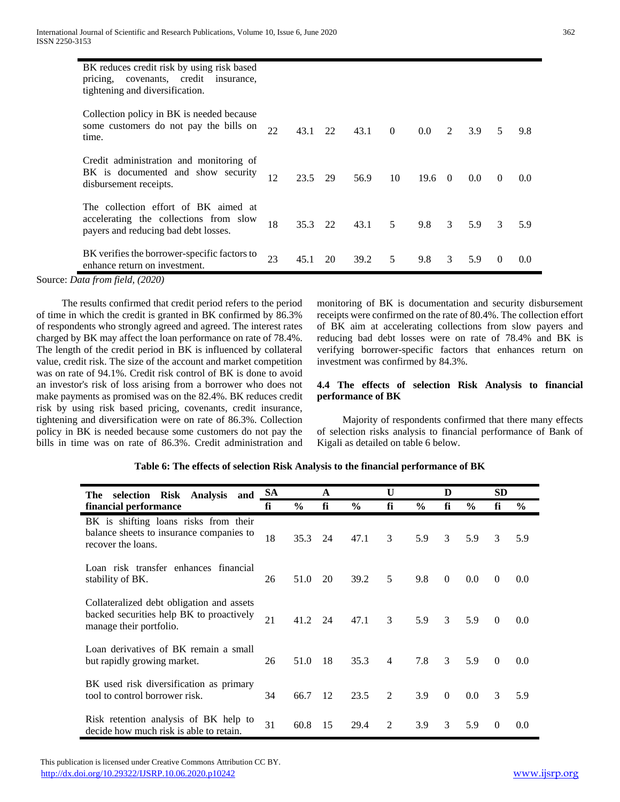| BK reduces credit risk by using risk based<br>covenants, credit insurance,<br>pricing,<br>tightening and diversification. |    |         |      |      |                 |                |                |     |          |     |
|---------------------------------------------------------------------------------------------------------------------------|----|---------|------|------|-----------------|----------------|----------------|-----|----------|-----|
| Collection policy in BK is needed because<br>some customers do not pay the bills on<br>time.                              | 22 | 43.1    | 22   | 43.1 | $\theta$        | $0.0\,$        | $\mathfrak{D}$ | 3.9 | 5        | 9.8 |
| Credit administration and monitoring of<br>BK is documented and show security<br>disbursement receipts.                   | 12 | 23.5    | - 29 | 56.9 | 10              | $19.6 \quad 0$ |                | 0.0 | $\Omega$ | 0.0 |
| The collection effort of BK aimed at<br>accelerating the collections from slow<br>payers and reducing bad debt losses.    | 18 | 35.3 22 |      | 43.1 | $5\overline{)}$ | 9.8            | $\mathcal{E}$  | 5.9 | 3        | 5.9 |
| BK verifies the borrower-specific factors to<br>enhance return on investment.                                             | 23 | 45.1    | 20   | 39.2 | .5              | 9.8            | 3              | 5.9 | $\Omega$ | 0.0 |

Source: *Data from field, (2020)*

 The results confirmed that credit period refers to the period of time in which the credit is granted in BK confirmed by 86.3% of respondents who strongly agreed and agreed. The interest rates charged by BK may affect the loan performance on rate of 78.4%. The length of the credit period in BK is influenced by collateral value, credit risk. The size of the account and market competition was on rate of 94.1%. Credit risk control of BK is done to avoid an investor's risk of loss arising from a borrower who does not make payments as promised was on the 82.4%. BK reduces credit risk by using risk based pricing, covenants, credit insurance, tightening and diversification were on rate of 86.3%. Collection policy in BK is needed because some customers do not pay the bills in time was on rate of 86.3%. Credit administration and monitoring of BK is documentation and security disbursement receipts were confirmed on the rate of 80.4%. The collection effort of BK aim at accelerating collections from slow payers and reducing bad debt losses were on rate of 78.4% and BK is verifying borrower-specific factors that enhances return on investment was confirmed by 84.3%.

# **4.4 The effects of selection Risk Analysis to financial performance of BK**

 Majority of respondents confirmed that there many effects of selection risks analysis to financial performance of Bank of Kigali as detailed on table 6 below.

# **Table 6: The effects of selection Risk Analysis to the financial performance of BK**

| selection Risk Analysis<br>The<br>and                                                                            | <b>SA</b> |               | A  |               | U              |               | D        |               | SD            |               |
|------------------------------------------------------------------------------------------------------------------|-----------|---------------|----|---------------|----------------|---------------|----------|---------------|---------------|---------------|
| financial performance                                                                                            | fi        | $\frac{6}{9}$ | fi | $\frac{0}{0}$ | fi             | $\frac{6}{9}$ | fi       | $\frac{6}{6}$ | fi            | $\frac{6}{9}$ |
| BK is shifting loans risks from their<br>balance sheets to insurance companies to<br>recover the loans.          | 18        | 35.3          | 24 | 47.1          | 3              | 5.9           | 3        | 5.9           | 3             | 5.9           |
| Loan risk transfer enhances financial<br>stability of BK.                                                        | 26        | 51.0          | 20 | 39.2          | 5              | 9.8           | $\theta$ | 0.0           | $\theta$      | 0.0           |
| Collateralized debt obligation and assets<br>backed securities help BK to proactively<br>manage their portfolio. | 21        | 41.2          | 24 | 47.1          | 3              | 5.9           | 3        | 5.9           | $\Omega$      | 0.0           |
| Loan derivatives of BK remain a small<br>but rapidly growing market.                                             | 26        | 51.0          | 18 | 35.3          | $\overline{4}$ | 7.8           | 3        | 5.9           | $\theta$      | 0.0           |
| BK used risk diversification as primary<br>tool to control borrower risk.                                        | 34        | 66.7          | 12 | 23.5          | 2              | 3.9           | $\Omega$ | 0.0           | $\mathcal{F}$ | 5.9           |
| Risk retention analysis of BK help to<br>decide how much risk is able to retain.                                 | 31        | 60.8          | 15 | 29.4          | 2              | 3.9           | 3        | 5.9           | $\Omega$      | 0.0           |

 This publication is licensed under Creative Commons Attribution CC BY. <http://dx.doi.org/10.29322/IJSRP.10.06.2020.p10242> [www.ijsrp.org](http://ijsrp.org/)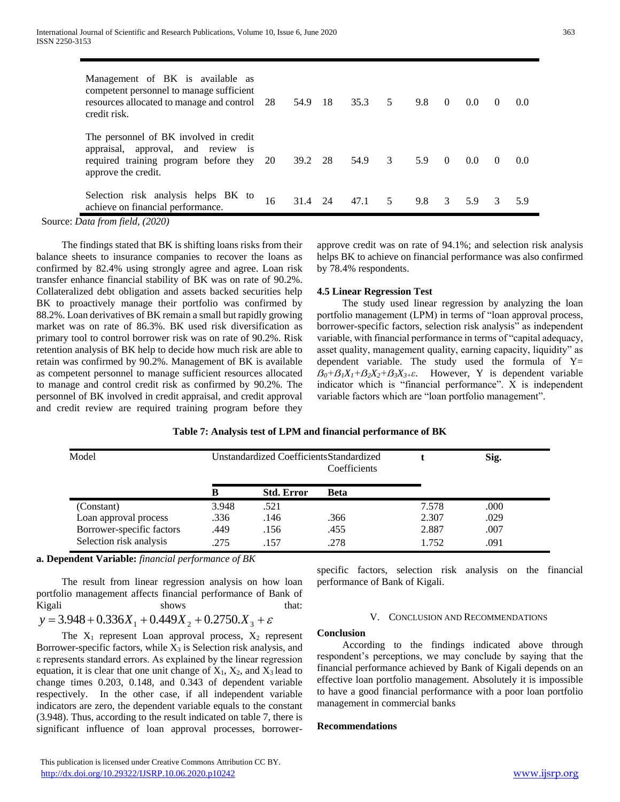| ۳<br>×      | ۰.                    | ٠ |
|-------------|-----------------------|---|
| I<br>$\sim$ | ×<br>I<br>o se<br>. . | I |

| Management of BK is available as<br>competent personnel to manage sufficient<br>resources allocated to manage and control 28<br>credit risk.    |    | 54.9 | -18 | 35.3 | 5 | 9.8 | $\theta$      | 0.0           | $\theta$ | (0.0) |
|-------------------------------------------------------------------------------------------------------------------------------------------------|----|------|-----|------|---|-----|---------------|---------------|----------|-------|
| The personnel of BK involved in credit<br>appraisal, approval, and review is<br>required training program before they 20<br>approve the credit. |    | 39.2 | 28  | 54.9 | 3 | 5.9 | $\theta$      | $0.0^{\circ}$ | $\theta$ | (0.0) |
| Selection risk analysis helps BK to<br>achieve on financial performance.                                                                        | 16 | 31.4 | 24  | 471  | 5 | 9.8 | $\mathcal{E}$ | 5.9           | 3        | 5 9   |

Source: *Data from field, (2020)*

 The findings stated that BK is shifting loans risks from their balance sheets to insurance companies to recover the loans as confirmed by 82.4% using strongly agree and agree. Loan risk transfer enhance financial stability of BK was on rate of 90.2%. Collateralized debt obligation and assets backed securities help BK to proactively manage their portfolio was confirmed by 88.2%. Loan derivatives of BK remain a small but rapidly growing market was on rate of 86.3%. BK used risk diversification as primary tool to control borrower risk was on rate of 90.2%. Risk retention analysis of BK help to decide how much risk are able to retain was confirmed by 90.2%. Management of BK is available as competent personnel to manage sufficient resources allocated to manage and control credit risk as confirmed by 90.2%. The personnel of BK involved in credit appraisal, and credit approval and credit review are required training program before they

approve credit was on rate of 94.1%; and selection risk analysis helps BK to achieve on financial performance was also confirmed by 78.4% respondents.

#### **4.5 Linear Regression Test**

 The study used linear regression by analyzing the loan portfolio management (LPM) in terms of "loan approval process, borrower-specific factors, selection risk analysis" as independent variable, with financial performance in terms of "capital adequacy, asset quality, management quality, earning capacity, liquidity" as dependent variable. The study used the formula of  $Y=$  $\widehat{B_0} + \widehat{B_1}X_1 + \widehat{B_2}X_2 + \widehat{B_3}X_3 + \varepsilon$ . However, Y is dependent variable indicator which is "financial performance".  $\overline{X}$  is independent variable factors which are "loan portfolio management".

| Model                     | Unstandardized CoefficientsStandardized<br>Coefficients |                   |             |       | Sig. |
|---------------------------|---------------------------------------------------------|-------------------|-------------|-------|------|
|                           | в                                                       | <b>Std. Error</b> | <b>Beta</b> |       |      |
| (Constant)                | 3.948                                                   | .521              |             | 7.578 | .000 |
| Loan approval process     | .336                                                    | .146              | .366        | 2.307 | .029 |
| Borrower-specific factors | .449                                                    | .156              | .455        | 2.887 | .007 |
| Selection risk analysis   | .275                                                    | .157              | .278        | 1.752 | .091 |

**a. Dependent Variable:** *financial performance of BK*

 The result from linear regression analysis on how loan portfolio management affects financial performance of Bank of Kigali shows that:

$$
y = 3.948 + 0.336X_1 + 0.449X_2 + 0.2750X_3 + \varepsilon
$$

The  $X_1$  represent Loan approval process,  $X_2$  represent Borrower-specific factors, while  $X_3$  is Selection risk analysis, and ε represents standard errors. As explained by the linear regression equation, it is clear that one unit change of  $X_1$ ,  $X_2$ , and  $X_3$  lead to change times 0.203, 0.148, and 0.343 of dependent variable respectively. In the other case, if all independent variable indicators are zero, the dependent variable equals to the constant (3.948). Thus, according to the result indicated on table 7, there is significant influence of loan approval processes, borrowerspecific factors, selection risk analysis on the financial performance of Bank of Kigali.

#### V. CONCLUSION AND RECOMMENDATIONS

# **Conclusion**

 According to the findings indicated above through respondent's perceptions, we may conclude by saying that the financial performance achieved by Bank of Kigali depends on an effective loan portfolio management. Absolutely it is impossible to have a good financial performance with a poor loan portfolio management in commercial banks

#### **Recommendations**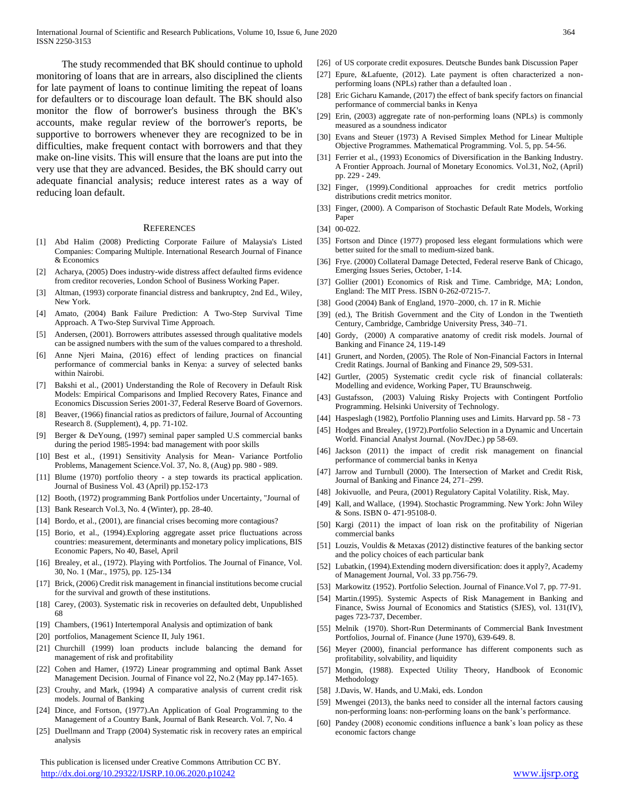The study recommended that BK should continue to uphold monitoring of loans that are in arrears, also disciplined the clients for late payment of loans to continue limiting the repeat of loans for defaulters or to discourage loan default. The BK should also monitor the flow of borrower's business through the BK's accounts, make regular review of the borrower's reports, be supportive to borrowers whenever they are recognized to be in difficulties, make frequent contact with borrowers and that they make on-line visits. This will ensure that the loans are put into the very use that they are advanced. Besides, the BK should carry out adequate financial analysis; reduce interest rates as a way of reducing loan default.

#### **REFERENCES**

- [1] Abd Halim (2008) Predicting Corporate Failure of Malaysia's Listed Companies: Comparing Multiple. International Research Journal of Finance & Economics
- [2] Acharya, (2005) Does industry-wide distress affect defaulted firms evidence from creditor recoveries, London School of Business Working Paper.
- [3] Altman, (1993) corporate financial distress and bankruptcy, 2nd Ed., Wiley, New York.
- [4] Amato, (2004) Bank Failure Prediction: A Two-Step Survival Time Approach. A Two-Step Survival Time Approach.
- [5] Andersen, (2001). Borrowers attributes assessed through qualitative models can be assigned numbers with the sum of the values compared to a threshold.
- [6] Anne Njeri Maina, (2016) effect of lending practices on financial performance of commercial banks in Kenya: a survey of selected banks within Nairobi.
- [7] Bakshi et al., (2001) Understanding the Role of Recovery in Default Risk Models: Empirical Comparisons and Implied Recovery Rates, Finance and Economics Discussion Series 2001-37, Federal Reserve Board of Governors.
- [8] Beaver, (1966) financial ratios as predictors of failure, Journal of Accounting Research 8. (Supplement), 4, pp. 71-102.
- [9] Berger & DeYoung, (1997) seminal paper sampled U.S commercial banks during the period 1985-1994: bad management with poor skills
- [10] Best et al., (1991) Sensitivity Analysis for Mean- Variance Portfolio Problems, Management Science.Vol. 37, No. 8, (Aug) pp. 980 - 989.
- [11] Blume (1970) portfolio theory a step towards its practical application. Journal of Business Vol. 43 (April) pp.152-173
- [12] Booth, (1972) programming Bank Portfolios under Uncertainty, "Journal of
- [13] Bank Research Vol.3, No. 4 (Winter), pp. 28-40.
- [14] Bordo, et al., (2001), are financial crises becoming more contagious?
- [15] Borio, et al., (1994).Exploring aggregate asset price fluctuations across countries: measurement, determinants and monetary policy implications, BIS Economic Papers, No 40, Basel, April
- [16] Brealey, et al., (1972). Playing with Portfolios. The Journal of Finance, Vol. 30, No. 1 (Mar., 1975), pp. 125-134
- [17] Brick, (2006) Credit risk management in financial institutions become crucial for the survival and growth of these institutions.
- [18] Carey, (2003). Systematic risk in recoveries on defaulted debt, Unpublished 68
- [19] Chambers, (1961) Intertemporal Analysis and optimization of bank
- [20] portfolios, Management Science II, July 1961.
- [21] Churchill (1999) loan products include balancing the demand for management of risk and profitability
- [22] Cohen and Hamer, (1972) Linear programming and optimal Bank Asset Management Decision. Journal of Finance vol 22, No.2 (May pp.147-165).
- [23] Crouhy, and Mark, (1994) A comparative analysis of current credit risk models. Journal of Banking
- [24] Dince, and Fortson, (1977).An Application of Goal Programming to the Management of a Country Bank, Journal of Bank Research. Vol. 7, No. 4
- [25] Duellmann and Trapp (2004) Systematic risk in recovery rates an empirical analysis

 This publication is licensed under Creative Commons Attribution CC BY. <http://dx.doi.org/10.29322/IJSRP.10.06.2020.p10242> [www.ijsrp.org](http://ijsrp.org/)

- [26] of US corporate credit exposures. Deutsche Bundes bank Discussion Paper
- [27] Epure, &Lafuente, (2012). Late payment is often characterized a nonperforming loans (NPLs) rather than a defaulted loan .
- [28] Eric Gicharu Kamande, (2017) the effect of bank specify factors on financial performance of commercial banks in Kenya
- [29] Erin, (2003) aggregate rate of non-performing loans (NPLs) is commonly measured as a soundness indicator
- [30] Evans and Steuer (1973) A Revised Simplex Method for Linear Multiple Objective Programmes. Mathematical Programming. Vol. 5, pp. 54-56.
- [31] Ferrier et al., (1993) Economics of Diversification in the Banking Industry. A Frontier Approach. Journal of Monetary Economics. Vol.31, No2, (April) pp. 229 - 249.
- [32] Finger, (1999).Conditional approaches for credit metrics portfolio distributions credit metrics monitor.
- [33] Finger, (2000). A Comparison of Stochastic Default Rate Models, Working Paper
- [34] 00-022.
- [35] Fortson and Dince (1977) proposed less elegant formulations which were better suited for the small to medium-sized bank.
- [36] Frye. (2000) Collateral Damage Detected, Federal reserve Bank of Chicago, Emerging Issues Series, October, 1-14.
- [37] Gollier (2001) Economics of Risk and Time. Cambridge, MA; London, England: The MIT Press. ISBN 0-262-07215-7.
- [38] Good (2004) Bank of England, 1970–2000, ch. 17 in R. Michie
- [39] (ed.), The British Government and the City of London in the Twentieth Century, Cambridge, Cambridge University Press, 340–71.
- [40] Gordy, (2000) A comparative anatomy of credit risk models. Journal of Banking and Finance 24, 119-149
- [41] Grunert, and Norden, (2005). The Role of Non-Financial Factors in Internal Credit Ratings. Journal of Banking and Finance 29, 509-531.
- [42] Gurtler, (2005) Systematic credit cycle risk of financial collaterals: Modelling and evidence, Working Paper, TU Braunschweig.
- [43] Gustafsson, (2003) Valuing Risky Projects with Contingent Portfolio Programming. Helsinki University of Technology.
- [44] Haspeslagh (1982), Portfolio Planning uses and Limits. Harvard pp. 58 73
- [45] Hodges and Brealey, (1972). Portfolio Selection in a Dynamic and Uncertain World. Financial Analyst Journal. (NovJDec.) pp 58-69.
- [46] Jackson (2011) the impact of credit risk management on financial performance of commercial banks in Kenya
- [47] Jarrow and Turnbull (2000). The Intersection of Market and Credit Risk, Journal of Banking and Finance 24, 271–299.
- [48] Jokivuolle, and Peura, (2001) Regulatory Capital Volatility. Risk, May.
- [49] Kall, and Wallace, (1994). Stochastic Programming. New York: John Wiley & Sons. ISBN 0- 471-95108-0.
- [50] Kargi (2011) the impact of loan risk on the profitability of Nigerian commercial banks
- [51] Louzis, Vouldis & Metaxas (2012) distinctive features of the banking sector and the policy choices of each particular bank
- [52] Lubatkin, (1994).Extending modern diversification: does it apply?, Academy of Management Journal, Vol. 33 pp.756-79.
- [53] Markowitz (1952). Portfolio Selection. Journal of Finance. Vol 7, pp. 77-91.
- [54] Martin.(1995). Systemic Aspects of Risk Management in Banking and Finance, Swiss Journal of Economics and Statistics (SJES), vol. 131(IV), pages 723-737, December.
- [55] Melnik (1970). Short-Run Determinants of Commercial Bank Investment Portfolios, Journal of. Finance (June 1970), 639-649. 8.
- [56] Meyer (2000), financial performance has different components such as profitability, solvability, and liquidity
- [57] Mongin, (1988). Expected Utility Theory, Handbook of Economic Methodology
- [58] J.Davis, W. Hands, and U.Maki, eds. London
- [59] Mwengei (2013), the banks need to consider all the internal factors causing non-performing loans: non-performing loans on the bank's performance.
- [60] Pandey (2008) economic conditions influence a bank's loan policy as these economic factors change